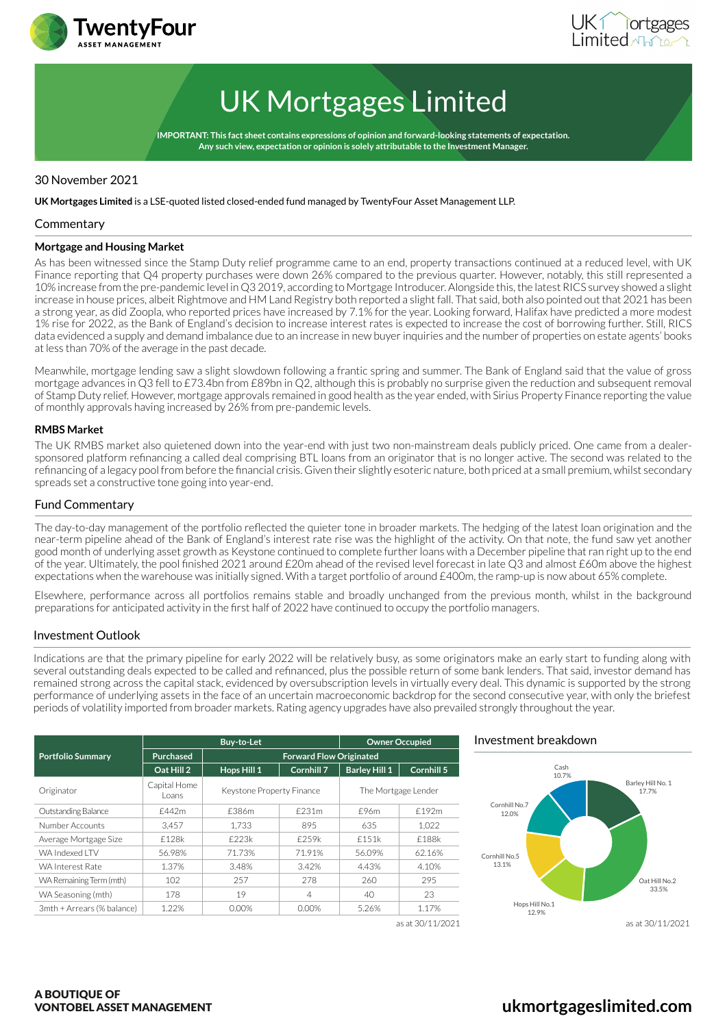



# UK Mortgages Limited

**IMPORTANT: This fact sheet contains expressions of opinion and forward-looking statements of expectation. Any such view, expectation or opinion is solely attributable to the Investment Manager.**

# 30 November 2021

**UK Mortgages Limited** is a LSE-quoted listed closed-ended fund managed by TwentyFour Asset Management LLP.

#### **Commentary**

#### **Mortgage and Housing Market**

As has been witnessed since the Stamp Duty relief programme came to an end, property transactions continued at a reduced level, with UK Finance reporting that Q4 property purchases were down 26% compared to the previous quarter. However, notably, this still represented a 10% increase from the pre-pandemic level in Q3 2019, according to Mortgage Introducer. Alongside this, the latest RICS survey showed a slight increase in house prices, albeit Rightmove and HM Land Registry both reported a slight fall. That said, both also pointed out that 2021 has been a strong year, as did Zoopla, who reported prices have increased by 7.1% for the year. Looking forward, Halifax have predicted a more modest 1% rise for 2022, as the Bank of England's decision to increase interest rates is expected to increase the cost of borrowing further. Still, RICS data evidenced a supply and demand imbalance due to an increase in new buyer inquiries and the number of properties on estate agents' books at less than 70% of the average in the past decade.

Meanwhile, mortgage lending saw a slight slowdown following a frantic spring and summer. The Bank of England said that the value of gross mortgage advances in Q3 fell to £73.4bn from £89bn in Q2, although this is probably no surprise given the reduction and subsequent removal of Stamp Duty relief. However, mortgage approvals remained in good health as the year ended, with Sirius Property Finance reporting the value of monthly approvals having increased by 26% from pre-pandemic levels.

#### **RMBS Market**

The UK RMBS market also quietened down into the year-end with just two non-mainstream deals publicly priced. One came from a dealersponsored platform refinancing a called deal comprising BTL loans from an originator that is no longer active. The second was related to the refinancing of a legacy pool from before the financial crisis. Given their slightly esoteric nature, both priced at a small premium, whilst secondary spreads set a constructive tone going into year-end.

#### Fund Commentary

The day-to-day management of the portfolio reflected the quieter tone in broader markets. The hedging of the latest loan origination and the near-term pipeline ahead of the Bank of England's interest rate rise was the highlight of the activity. On that note, the fund saw yet another good month of underlying asset growth as Keystone continued to complete further loans with a December pipeline that ran right up to the end of the year. Ultimately, the pool finished 2021 around £20m ahead of the revised level forecast in late Q3 and almost £60m above the highest expectations when the warehouse was initially signed. With a target portfolio of around £400m, the ramp-up is now about 65% complete.

Elsewhere, performance across all portfolios remains stable and broadly unchanged from the previous month, whilst in the background preparations for anticipated activity in the first half of 2022 have continued to occupy the portfolio managers.

### Investment Outlook

Indications are that the primary pipeline for early 2022 will be relatively busy, as some originators make an early start to funding along with several outstanding deals expected to be called and refinanced, plus the possible return of some bank lenders. That said, investor demand has remained strong across the capital stack, evidenced by oversubscription levels in virtually every deal. This dynamic is supported by the strong performance of underlying assets in the face of an uncertain macroeconomic backdrop for the second consecutive year, with only the briefest periods of volatility imported from broader markets. Rating agency upgrades have also prevailed strongly throughout the year.

|                            | <b>Buv-to-Let</b>      |                           |                                | <b>Owner Occupied</b> |                  |
|----------------------------|------------------------|---------------------------|--------------------------------|-----------------------|------------------|
| <b>Portfolio Summary</b>   | Purchased              |                           | <b>Forward Flow Originated</b> |                       |                  |
|                            | Oat Hill 2             | Hops Hill 1               | Cornhill 7                     | <b>Barley Hill 1</b>  | Cornhill 5       |
| Originator                 | Capital Home<br>Loans. | Keystone Property Finance |                                | The Mortgage Lender   |                  |
| Outstanding Balance        | £442m                  | £386m                     | £231m                          | £96m                  | £192m            |
| Number Accounts            | 3.457                  | 1.733                     | 895                            | 635                   | 1.022            |
| Average Mortgage Size      | f128k                  | f223k                     | £259k                          | f151k                 | £188k            |
| WA Indexed I TV            | 56.98%                 | 71.73%                    | 71.91%                         | 56.09%                | 62.16%           |
| <b>WA Interest Rate</b>    | 1.37%                  | 3.48%                     | 3.42%                          | 4.43%                 | 4.10%            |
| WA Remaining Term (mth)    | 102 <sub>2</sub>       | 257                       | 278                            | 260                   | 295              |
| WA Seasoning (mth)         | 178                    | 19                        | 4                              | 40                    | 23               |
| 3mth + Arrears (% balance) | 1.22%                  | $0.00\%$                  | $0.00\%$                       | 5.26%                 | 1.17%            |
|                            |                        |                           |                                |                       | as at 30/11/2021 |

### Investment breakdown



# **[ukmortgageslimited.com](http://www.ukmortgageslimited.com)**